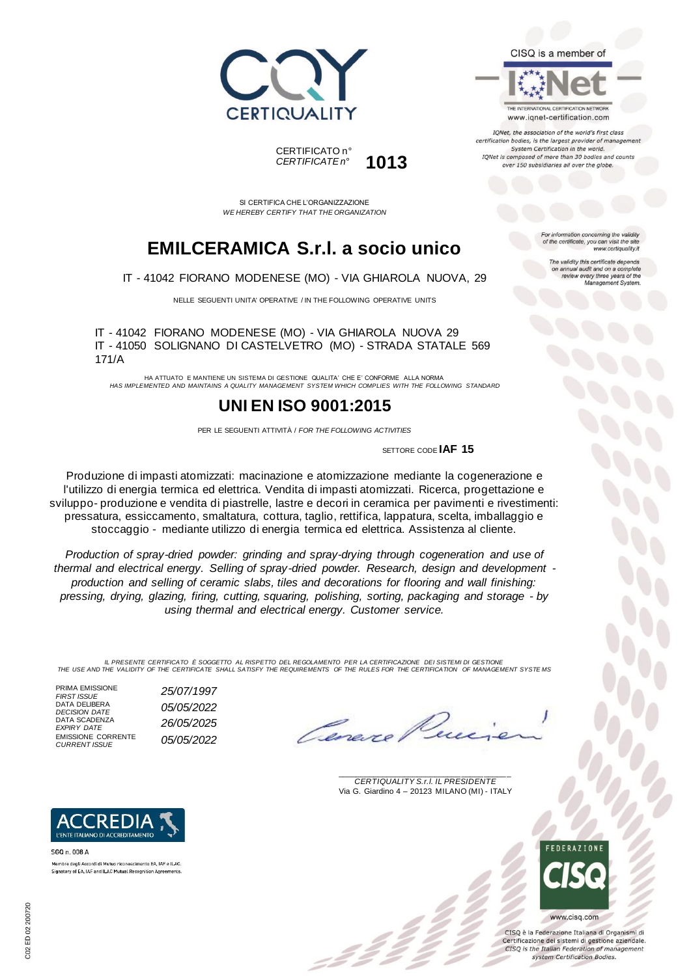



THE INTERNATIONAL CERTIFICATION NETWORK www.iqnet-certification.com

TONet, the association of the world's first class certification bodies, is the largest provider of managen System Certification in the world. IQNet is composed of more than 30 bodies and counts over 150 subsidiaries all over the globe.

> tion concerning the validity of the certificate, you can visit the sit

The validity this certificate depends on annual audit and on a complete<br>review every three years of the<br>Management System.

www.certiquality.it

*CERTIFICATE n°* **1013**

CERTIFICATO n°

SI CERTIFICA CHE L'ORGANIZZAZIONE *WE HEREBY CERTIFY THAT THE ORGANIZATION*

## **EMILCERAMICA S.r.l. a socio unico**

IT - 41042 FIORANO MODENESE (MO) - VIA GHIAROLA NUOVA, 29

NELLE SEGUENTI UNITA' OPERATIVE / IN THE FOLLOWING OPERATIVE UNITS

IT - 41042 FIORANO MODENESE (MO) - VIA GHIAROLA NUOVA 29 IT - 41050 SOLIGNANO DI CASTELVETRO (MO) - STRADA STATALE 569 171/A

HA ATTUATO E MANTIENE UN SISTEMA DI GESTIONE QUALITA' CHE E' CONFORME ALLA NORMA *HAS IMPLEMENTED AND MAINTAINS A QUALITY MANAGEMENT SYSTEM WHICH COMPLIES WITH THE FOLLOWING STANDARD*

### **UNI EN ISO 9001:2015**

PER LE SEGUENTI ATTIVITÀ / *FOR THE FOLLOWING ACTIVITIES*

SETTORE CODE **IAF 15**

Produzione di impasti atomizzati: macinazione e atomizzazione mediante la cogenerazione e l'utilizzo di energia termica ed elettrica. Vendita di impasti atomizzati. Ricerca, progettazione e sviluppo- produzione e vendita di piastrelle, lastre e decori in ceramica per pavimenti e rivestimenti: pressatura, essiccamento, smaltatura, cottura, taglio, rettifica, lappatura, scelta, imballaggio e stoccaggio - mediante utilizzo di energia termica ed elettrica. Assistenza al cliente.

*Production of spray-dried powder: grinding and spray-drying through cogeneration and use of thermal and electrical energy. Selling of spray-dried powder. Research, design and development production and selling of ceramic slabs, tiles and decorations for flooring and wall finishing: pressing, drying, glazing, firing, cutting, squaring, polishing, sorting, packaging and storage - by using thermal and electrical energy. Customer service.*

IL PRESENTE CERTIFICATO E SOGGETTO AL RISPETTO DEL REGOLAMENTO PER LA CERTIFICAZIONE DEI SISTEMI DI GESTIONE<br>THE USE AND THE VALIDITY OF THE CERTIFICATE SHALL SATISFY THE REQUIREMENTS OF THE RULES FOR THE CERTIFICATION OF

PRIMA EMISSIONE<br>FIRST ISSUE DATA DELIBERA DATA SCADENZA<br>*EXPIRY DATE* EMISSIONE CORRENTE

**ACCREDI** L'ENTE ITALIANO DI ACCREDITAMENTO

Membro degli Accordi di Mutuo riconoscimento EA, IAF e ILAC Signatory of EA, IAF and ILAC Mutual Recognition Agreements

SGQ n. 008 A

Cene

\_\_\_\_\_\_\_\_\_\_\_\_\_\_\_\_\_\_\_\_\_\_\_\_\_\_\_\_\_\_\_\_\_\_\_\_\_\_\_ *CERTIQUALITY S.r.l. IL PRESIDENTE* Via G. Giardino 4 – 20123 MILANO (MI) - ITALY



CISO è la Federazione Italiana di Organismi di Certificazione dei sistemi di gestione aziendale. CISQ is the Italian Federation of management system Certification Bodies.



*DECISION DATE 05/05/2022 CURRENT ISSUE 05/05/2022*

*FIRST ISSUE 25/07/1997 EXPIRY DATE 26/05/2025*